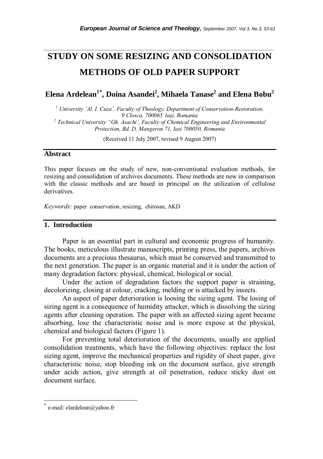# **STUDY ON SOME RESIZING AND CONSOLIDATION METHODS OF OLD PAPER SUPPORT**

*\_\_\_\_\_\_\_\_\_\_\_\_\_\_\_\_\_\_\_\_\_\_\_\_\_\_\_\_\_\_\_\_\_\_\_\_\_\_\_\_\_\_\_\_\_\_\_\_\_\_\_\_\_\_\_\_\_\_\_\_\_\_\_\_\_\_\_\_\_\_\_* 

 $\mathbf{E}$ lena Ardelean $^{1^*}$ , Doina Asandei $^{2}$ , Mihaela Tanase $^{2}$  and Elena Bobu $^{2}$ 

*1 University 'Al. I. Cuza', Faculty of Theology, Department of Conservation-Restoration, 9 Closca, 700065 Iaşi, Romania 2 Technical University "Gh. Asachi', Faculty of Chemical Engineering and Environmental Protection, Bd. D. Mangeron 71, Iasi 700050, Romania* 

(Received 11 July 2007, revised 9 August 2007)

### **Abstract**

This paper focuses on the study of new, non-conventional evaluation methods, for resizing and consolidation of archives documents. These methods are new in comparison with the classic methods and are based in principal on the utilization of cellulose derivatives.

*Keywords:* paper conservation, resizing, chitosan, AKD

# **1. Introduction**

Paper is an essential part in cultural and economic progress of humanity. The books, meticulous illustrate manuscripts, printing press, the papers, archives documents are a precious thesaurus, which must be conserved and transmitted to the next generation. The paper is an organic material and it is under the action of many degradation factors: physical, chemical, biological or social.

Under the action of degradation factors the support paper is straining, decolorizing, closing at colour, cracking, melding or is attacked by insects.

An aspect of paper deterioration is loosing the sizing agent. The losing of sizing agent is a consequence of humidity attacker, which is dissolving the sizing agents after cleaning operation. The paper with an affected sizing agent became absorbing, lose the characteristic noise and is more expose at the physical, chemical and biological factors (Figure 1).

For preventing total deterioration of the documents, usually are applied consolidation treatments, which have the following objectives: replace the lost sizing agent, improve the mechanical properties and rigidity of sheet paper, give characteristic noise, stop bleeding ink on the document surface, give strength under acids action, give strength at oil penetration, reduce sticky dust on document surface.

l

e-mail: elardelean@yahoo.fr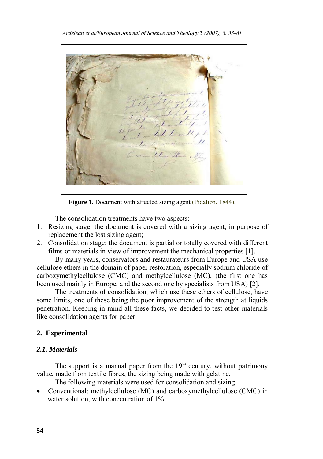Low the

**Figure 1.** Document with affected sizing agent (Pidalion, 1844).

The consolidation treatments have two aspects:

- 1. Resizing stage: the document is covered with a sizing agent, in purpose of replacement the lost sizing agent;
- 2. Consolidation stage: the document is partial or totally covered with different films or materials in view of improvement the mechanical properties [1].

By many years, conservators and restaurateurs from Europe and USA use cellulose ethers in the domain of paper restoration, especially sodium chloride of carboxymethylcellulose (CMC) and methylcellulose (MC), (the first one has been used mainly in Europe, and the second one by specialists from USA) [2].

The treatments of consolidation, which use these ethers of cellulose, have some limits, one of these being the poor improvement of the strength at liquids penetration. Keeping in mind all these facts, we decided to test other materials like consolidation agents for paper.

# **2. Experimental**

# *2.1. Materials*

The support is a manual paper from the  $19<sup>th</sup>$  century, without patrimony value, made from textile fibres, the sizing being made with gelatine.

The following materials were used for consolidation and sizing:

• Conventional: methylcellulose (MC) and carboxymethylcellulose (CMC) in water solution, with concentration of 1%;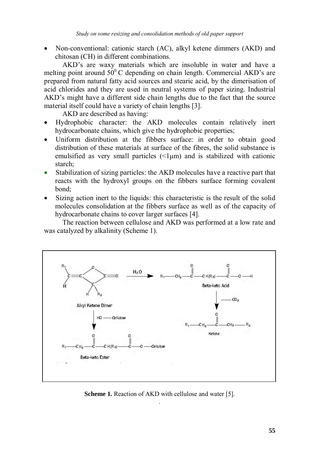• Non-conventional: cationic starch (AC), alkyl ketene dimmers (AKD) and chitosan (CH) in different combinations.

AKD's are waxy materials which are insoluble in water and have a melting point around  $50^{\circ}$ C depending on chain length. Commercial AKD's are prepared from natural fatty acid sources and stearic acid, by the dimerisation of acid chlorides and they are used in neutral systems of paper sizing. Industrial AKD's might have a different side chain lengths due to the fact that the source material itself could have a variety of chain lengths [3].

AKD are described as having:

- Hydrophobic character: the AKD molecules contain relatively inert hydrocarbonate chains, which give the hydrophobic properties;
- Uniform distribution at the fibbers surface: in order to obtain good distribution of these materials at surface of the fibres, the solid substance is emulsified as very small particles  $(\leq l \mu m)$  and is stabilized with cationic starch;
- Stabilization of sizing particles: the AKD molecules have a reactive part that reacts with the hydroxyl groups on the fibbers surface forming covalent bond;
- Sizing action inert to the liquids: this characteristic is the result of the solid molecules consolidation at the fibbers surface as well as of the capacity of hydrocarbonate chains to cover larger surfaces [4].

The reaction between cellulose and AKD was performed at a low rate and was catalyzed by alkalinity (Scheme 1).



**Scheme 1.** Reaction of AKD with cellulose and water [5]. .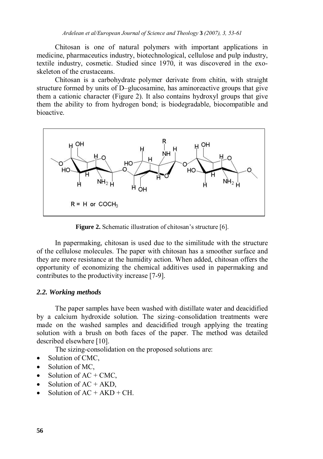Chitosan is one of natural polymers with important applications in medicine, pharmaceutics industry, biotechnological, cellulose and pulp industry, textile industry, cosmetic. Studied since 1970, it was discovered in the exoskeleton of the crustaceans.

Chitosan is a carbohydrate polymer derivate from chitin, with straight structure formed by units of D–glucosamine, has aminoreactive groups that give them a cationic character (Figure 2). It also contains hydroxyl groups that give them the ability to from hydrogen bond; is biodegradable, biocompatible and bioactive.



**Figure 2.** Schematic illustration of chitosan's structure [6].

In papermaking, chitosan is used due to the similitude with the structure of the cellulose molecules. The paper with chitosan has a smoother surface and they are more resistance at the humidity action. When added, chitosan offers the opportunity of economizing the chemical additives used in papermaking and contributes to the productivity increase [7-9].

#### *2.2. Working methods*

The paper samples have been washed with distillate water and deacidified by a calcium hydroxide solution. The sizing–consolidation treatments were made on the washed samples and deacidified trough applying the treating solution with a brush on both faces of the paper. The method was detailed described elsewhere [10].

The sizing-consolidation on the proposed solutions are:

- Solution of CMC,
- Solution of MC.
- Solution of  $AC + CMC$ ,
- Solution of  $AC + AKD$ ,
- Solution of  $AC + AKD + CH$ .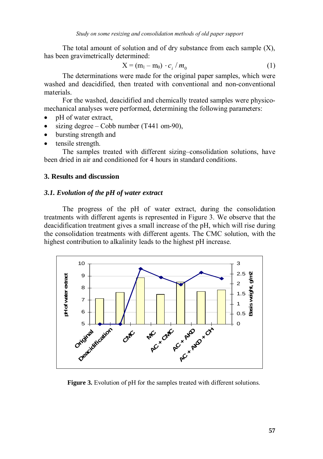The total amount of solution and of dry substance from each sample  $(X)$ , has been gravimetrically determined:

$$
X = (m_1 - m_0) \cdot c_i / m_0 \tag{1}
$$

The determinations were made for the original paper samples, which were washed and deacidified, then treated with conventional and non-conventional materials.

For the washed, deacidified and chemically treated samples were physicomechanical analyses were performed, determining the following parameters:

- pH of water extract,
- sizing degree Cobb number (T441 om-90),
- bursting strength and
- tensile strength.

The samples treated with different sizing–consolidation solutions, have been dried in air and conditioned for 4 hours in standard conditions.

# **3. Results and discussion**

#### *3.1. Evolution of the pH of water extract*

The progress of the pH of water extract, during the consolidation treatments with different agents is represented in Figure 3. We observe that the deacidification treatment gives a small increase of the pH, which will rise during the consolidation treatments with different agents. The CMC solution, with the highest contribution to alkalinity leads to the highest pH increase.



**Figure 3.** Evolution of pH for the samples treated with different solutions.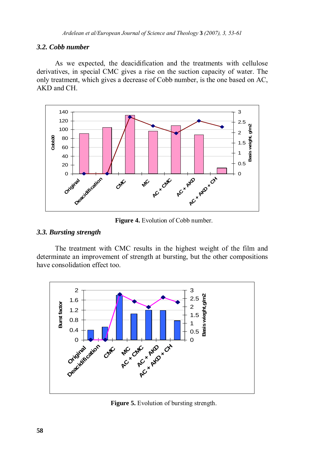# *3.2. Cobb number*

As we expected, the deacidification and the treatments with cellulose derivatives, in special CMC gives a rise on the suction capacity of water. The only treatment, which gives a decrease of Cobb number, is the one based on AC, AKD and CH.



**Figure 4.** Evolution of Cobb number.

# *3.3. Bursting strength*

The treatment with CMC results in the highest weight of the film and determinate an improvement of strength at bursting, but the other compositions have consolidation effect too.



**Figure 5.** Evolution of bursting strength.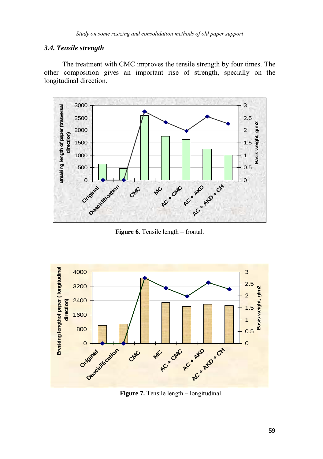# *3.4. Tensile strength*

The treatment with CMC improves the tensile strength by four times. The other composition gives an important rise of strength, specially on the longitudinal direction.



**Figure 6.** Tensile length – frontal.



**Figure 7.** Tensile length – longitudinal.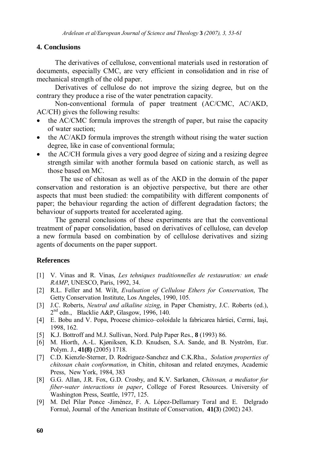# **4. Conclusions**

The derivatives of cellulose, conventional materials used in restoration of documents, especially CMC, are very efficient in consolidation and in rise of mechanical strength of the old paper.

Derivatives of cellulose do not improve the sizing degree, but on the contrary they produce a rise of the water penetration capacity.

Non-conventional formula of paper treatment (AC/CMC, AC/AKD, AC/CH) gives the following results:

- the AC/CMC formula improves the strength of paper, but raise the capacity of water suction;
- the AC/AKD formula improves the strength without rising the water suction degree, like in case of conventional formula;
- the AC/CH formula gives a very good degree of sizing and a resizing degree strength similar with another formula based on cationic starch, as well as those based on MC.

The use of chitosan as well as of the AKD in the domain of the paper conservation and restoration is an objective perspective, but there are other aspects that must been studied: the compatibility with different components of paper; the behaviour regarding the action of different degradation factors; the behaviour of supports treated for accelerated aging.

The general conclusions of these experiments are that the conventional treatment of paper consolidation, based on derivatives of cellulose, can develop a new formula based on combination by of cellulose derivatives and sizing agents of documents on the paper support.

#### **References**

- [1] V. Vinas and R. Vinas, *Les tehniques traditionnelles de restauration: un etude RAMP*, UNESCO, Paris, 1992, 34.
- [2] R.L. Feller and M. Wilt, *Evaluation of Cellulose Ethers for Conservation*, The Getty Conservation Institute, Los Angeles, 1990, 105.
- [3] J.C. Roberts, *Neutral and alkaline sizing*, in Paper Chemistry, J.C. Roberts (ed.),  $2<sup>nd</sup>$  edn., Blacklie A&P, Glasgow, 1996, 140.
- [4] E. Bobu and V. Popa, Procese chimico–coloidale la fabricarea hârtiei, Cermi, Iaşi, 1998, 162.
- [5] K.J. Bottroff and M.J. Sullivan, Nord. Pulp Paper Res., **8** (1993) 86.
- [6] M. Hiorth, A.-L. Kjøniksen, K.D. Knudsen, S.A. Sande, and B. Nyström, Eur. Polym. J., **41(8)** (2005) 1718.
- [7] C.D. Kienzle-Sterner, D. Rodriguez-Sanchez and C.K.Rha., *Solution properties of chitosan chain conformation*, in Chitin, chitosan and related enzymes, Academic Press, New York, 1984, 383
- [8] G.G. Allan, J.R. Fox, G.D. Crosby, and K.V. Sarkanen, *Chitosan, a mediator for fiber-water interactions in paper*, College of Forest Resources. University of Washington Press, Seattle, 1977, 125.
- [9] M. Del Pilar Ponce -Jiménez, F. A. López-Dellamary Toral and E. Delgrado Fornué, Journal of the American Institute of Conservation, **41(3**) (2002) 243.